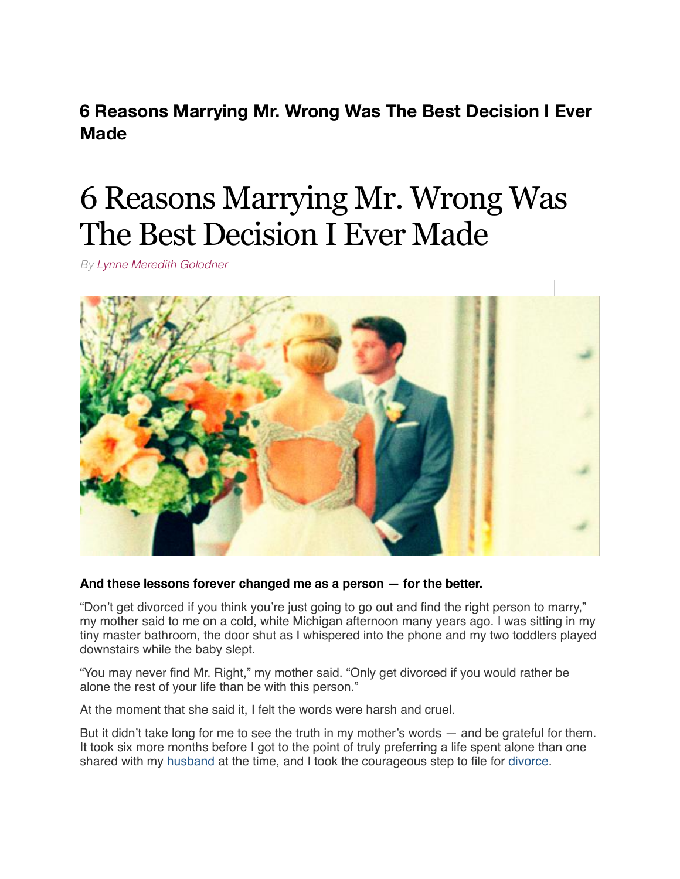**6 Reasons Marrying Mr. Wrong Was The Best Decision I Ever Made**

# 6 Reasons Marrying Mr. Wrong Was The Best Decision I Ever Made

*By [Lynne Meredith Golodner](http://www.yourtango.com/users/lynne-meredith-golodner)*



#### **And these lessons forever changed me as a person — for the better.**

"Don't get divorced if you think you're just going to go out and find the right person to marry," my mother said to me on a cold, white Michigan afternoon many years ago. I was sitting in my tiny master bathroom, the door shut as I whispered into the phone and my two toddlers played downstairs while the baby slept.

"You may never find Mr. Right," my mother said. "Only get divorced if you would rather be alone the rest of your life than be with this person."

At the moment that she said it, I felt the words were harsh and cruel.

But it didn't take long for me to see the truth in my mother's words — and be grateful for them. It took six more months before I got to the point of truly preferring a life spent alone than one shared with my [husband](http://www.yourtango.com/2013197121/marriage-i-put-my-husband-my-child) at the time, and I took the courageous step to file for [divorce](http://www.yourtango.com/breakups-and-divorce).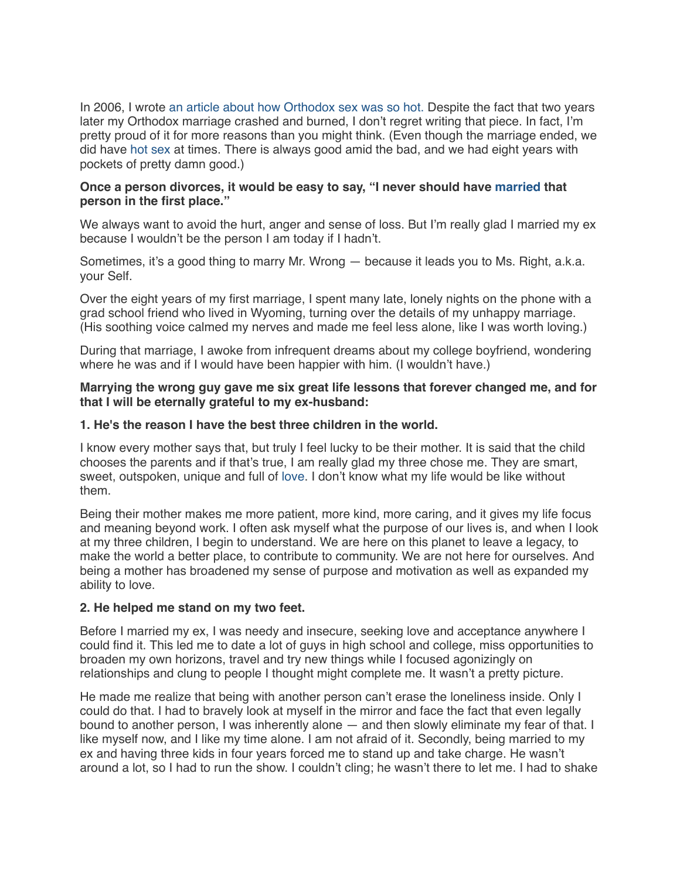In 2006, I wrote [an article about how Orthodox sex was so hot.](http://www.yourtango.com/200623/forbidden-desires) Despite the fact that two years later my Orthodox marriage crashed and burned, I don't regret writing that piece. In fact, I'm pretty proud of it for more reasons than you might think. (Even though the marriage ended, we did have [hot sex](http://www.yourtango.com/experts/sean-jameson/hot-sex-moves) at times. There is always good amid the bad, and we had eight years with pockets of pretty damn good.)

## **Once a person divorces, it would be easy to say, "I never should have [married](http://www.yourtango.com/married-lovestage) that person in the first place."**

We always want to avoid the hurt, anger and sense of loss. But I'm really glad I married my ex because I wouldn't be the person I am today if I hadn't.

Sometimes, it's a good thing to marry Mr. Wrong — because it leads you to Ms. Right, a.k.a. your Self.

Over the eight years of my first marriage, I spent many late, lonely nights on the phone with a grad school friend who lived in Wyoming, turning over the details of my unhappy marriage. (His soothing voice calmed my nerves and made me feel less alone, like I was worth loving.)

During that marriage, I awoke from infrequent dreams about my college boyfriend, wondering where he was and if I would have been happier with him. (I wouldn't have.)

## **Marrying the wrong guy gave me six great life lessons that forever changed me, and for that I will be eternally grateful to my ex-husband:**

## **1. He's the reason I have the best three children in the world.**

I know every mother says that, but truly I feel lucky to be their mother. It is said that the child chooses the parents and if that's true, I am really glad my three chose me. They are smart, sweet, outspoken, unique and full of [love](http://www.yourtango.com/love). I don't know what my life would be like without them.

Being their mother makes me more patient, more kind, more caring, and it gives my life focus and meaning beyond work. I often ask myself what the purpose of our lives is, and when I look at my three children, I begin to understand. We are here on this planet to leave a legacy, to make the world a better place, to contribute to community. We are not here for ourselves. And being a mother has broadened my sense of purpose and motivation as well as expanded my ability to love.

## **2. He helped me stand on my two feet.**

Before I married my ex, I was needy and insecure, seeking love and acceptance anywhere I could find it. This led me to date a lot of guys in high school and college, miss opportunities to broaden my own horizons, travel and try new things while I focused agonizingly on relationships and clung to people I thought might complete me. It wasn't a pretty picture.

He made me realize that being with another person can't erase the loneliness inside. Only I could do that. I had to bravely look at myself in the mirror and face the fact that even legally bound to another person, I was inherently alone  $-$  and then slowly eliminate my fear of that. I like myself now, and I like my time alone. I am not afraid of it. Secondly, being married to my ex and having three kids in four years forced me to stand up and take charge. He wasn't around a lot, so I had to run the show. I couldn't cling; he wasn't there to let me. I had to shake